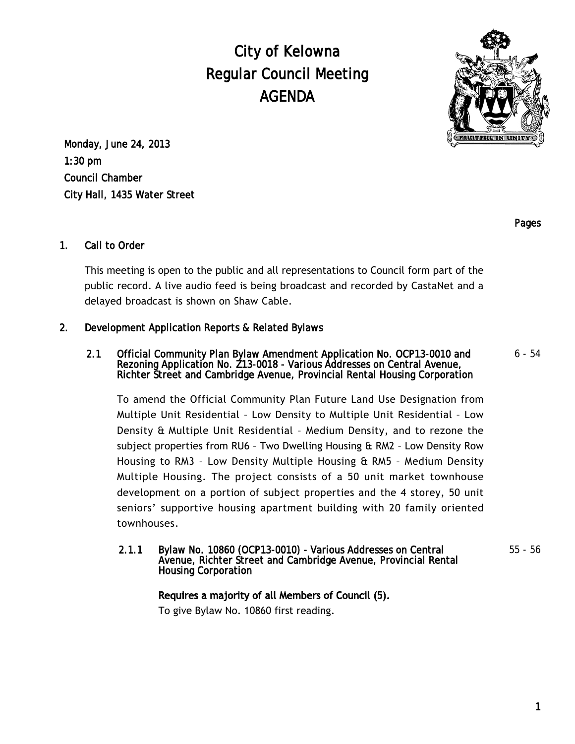City of Kelowna Regular Council Meeting AGENDA



Monday, June 24, 2013 1:30 pm Council Chamber City Hall, 1435 Water Street

Pages

# 1. Call to Order

This meeting is open to the public and all representations to Council form part of the public record. A live audio feed is being broadcast and recorded by CastaNet and a delayed broadcast is shown on Shaw Cable.

# 2. Development Application Reports & Related Bylaws

#### 2.1 Official Community Plan Bylaw Amendment Application No. OCP13-0010 and Rezoning Application No. Z13-0018 - Various Addresses on Central Avenue, Richter Street and Cambridge Avenue, Provincial Rental Housing Corporation 6 - 54

To amend the Official Community Plan Future Land Use Designation from Multiple Unit Residential – Low Density to Multiple Unit Residential – Low Density & Multiple Unit Residential – Medium Density, and to rezone the subject properties from RU6 – Two Dwelling Housing & RM2 – Low Density Row Housing to RM3 – Low Density Multiple Housing & RM5 – Medium Density Multiple Housing. The project consists of a 50 unit market townhouse development on a portion of subject properties and the 4 storey, 50 unit seniors' supportive housing apartment building with 20 family oriented townhouses.

#### 2.1.1 Bylaw No. 10860 (OCP13-0010) - Various Addresses on Central Avenue, Richter Street and Cambridge Avenue, Provincial Rental Housing Corporation

55 - 56

## Requires a majority of all Members of Council (5).

To give Bylaw No. 10860 first reading.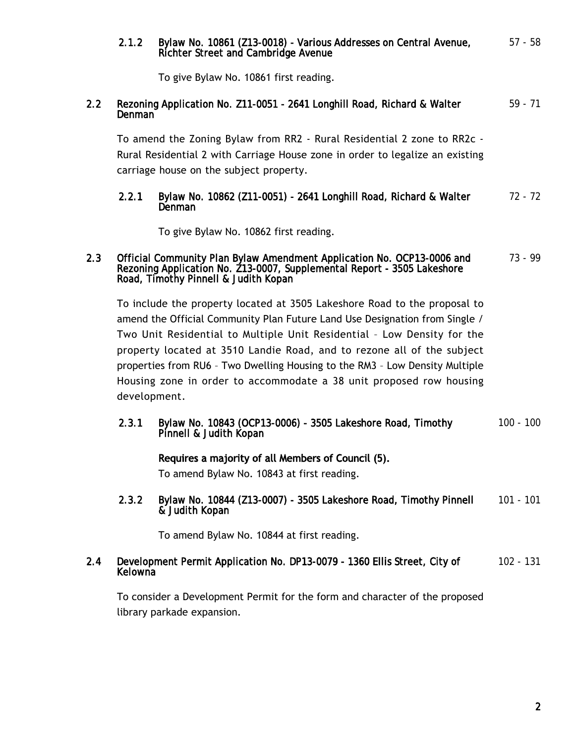# 2.1.2 Bylaw No. 10861 (Z13-0018) - Various Addresses on Central Avenue, Richter Street and Cambridge Avenue 57 - 58 To give Bylaw No. 10861 first reading. 2.2 Rezoning Application No. Z11-0051 - 2641 Longhill Road, Richard & Walter Denman 59 - 71

To amend the Zoning Bylaw from RR2 - Rural Residential 2 zone to RR2c - Rural Residential 2 with Carriage House zone in order to legalize an existing carriage house on the subject property.

#### 2.2.1 Bylaw No. 10862 (Z11-0051) - 2641 Longhill Road, Richard & Walter Denman 72 - 72

To give Bylaw No. 10862 first reading.

#### 2.3 Official Community Plan Bylaw Amendment Application No. OCP13-0006 and Rezoning Application No. Z13-0007, Supplemental Report - 3505 Lakeshore Road, Timothy Pinnell & Judith Kopan 73 - 99

To include the property located at 3505 Lakeshore Road to the proposal to amend the Official Community Plan Future Land Use Designation from Single / Two Unit Residential to Multiple Unit Residential – Low Density for the property located at 3510 Landie Road, and to rezone all of the subject properties from RU6 – Two Dwelling Housing to the RM3 – Low Density Multiple Housing zone in order to accommodate a 38 unit proposed row housing development.

2.3.1 Bylaw No. 10843 (OCP13-0006) - 3505 Lakeshore Road, Timothy Pinnell & Judith Kopan 100 - 100

## Requires a majority of all Members of Council (5).

To amend Bylaw No. 10843 at first reading.

2.3.2 Bylaw No. 10844 (Z13-0007) - 3505 Lakeshore Road, Timothy Pinnell & Judith Kopan 101 - 101

To amend Bylaw No. 10844 at first reading.

#### 2.4 Development Permit Application No. DP13-0079 - 1360 Ellis Street, City of **Kelowna** 102 - 131

To consider a Development Permit for the form and character of the proposed library parkade expansion.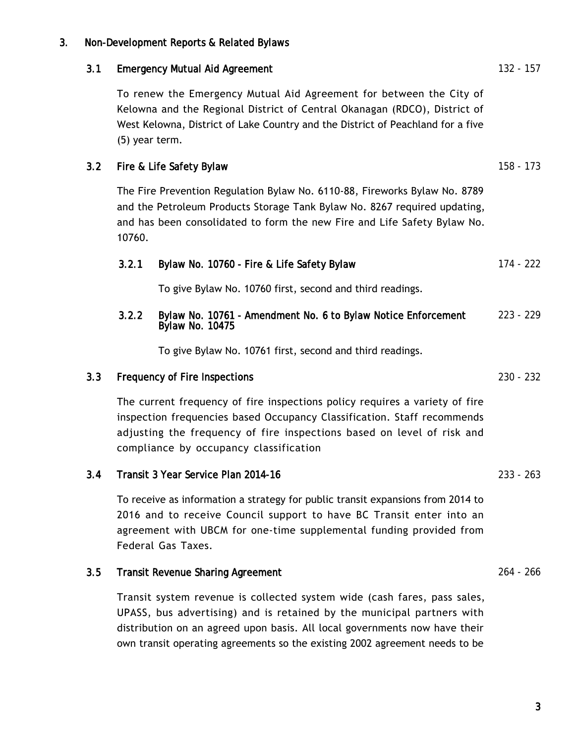# 3. Non-Development Reports & Related Bylaws

## 3.1 Emergency Mutual Aid Agreement 132 - 157

To renew the Emergency Mutual Aid Agreement for between the City of Kelowna and the Regional District of Central Okanagan (RDCO), District of West Kelowna, District of Lake Country and the District of Peachland for a five (5) year term.

# 3.2 Fire & Life Safety Bylaw 158 - 173

The Fire Prevention Regulation Bylaw No. 6110-88, Fireworks Bylaw No. 8789 and the Petroleum Products Storage Tank Bylaw No. 8267 required updating, and has been consolidated to form the new Fire and Life Safety Bylaw No. 10760.

|  |  | 3.2.1 Bylaw No. 10760 - Fire & Life Safety Bylaw | 174 - 222 |
|--|--|--------------------------------------------------|-----------|
|--|--|--------------------------------------------------|-----------|

To give Bylaw No. 10760 first, second and third readings.

#### 3.2.2 Bylaw No. 10761 - Amendment No. 6 to Bylaw Notice Enforcement Bylaw No. 10475 223 - 229

To give Bylaw No. 10761 first, second and third readings.

## 3.3 Frequency of Fire Inspections 230 - 232

The current frequency of fire inspections policy requires a variety of fire inspection frequencies based Occupancy Classification. Staff recommends adjusting the frequency of fire inspections based on level of risk and compliance by occupancy classification

### 3.4 Transit 3 Year Service Plan 2014-16 233 - 263

To receive as information a strategy for public transit expansions from 2014 to 2016 and to receive Council support to have BC Transit enter into an agreement with UBCM for one-time supplemental funding provided from Federal Gas Taxes.

## 3.5 Transit Revenue Sharing Agreement 264 - 266

Transit system revenue is collected system wide (cash fares, pass sales, UPASS, bus advertising) and is retained by the municipal partners with distribution on an agreed upon basis. All local governments now have their own transit operating agreements so the existing 2002 agreement needs to be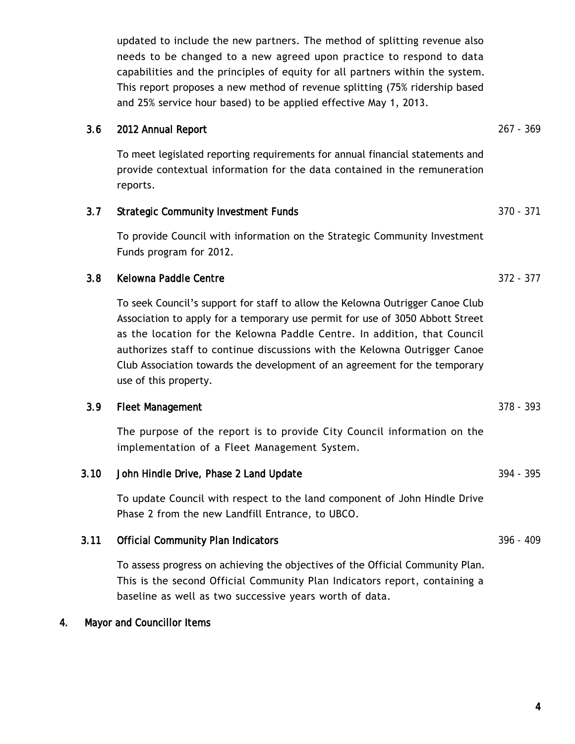updated to include the new partners. The method of splitting revenue also needs to be changed to a new agreed upon practice to respond to data capabilities and the principles of equity for all partners within the system. This report proposes a new method of revenue splitting (75% ridership based and 25% service hour based) to be applied effective May 1, 2013.

# 3.6 2012 Annual Report 267 - 369

To meet legislated reporting requirements for annual financial statements and provide contextual information for the data contained in the remuneration reports.

# 3.7 Strategic Community Investment Funds 370 - 371

To provide Council with information on the Strategic Community Investment Funds program for 2012.

# 3.8 Kelowna Paddle Centre 372 - 377

To seek Council's support for staff to allow the Kelowna Outrigger Canoe Club Association to apply for a temporary use permit for use of 3050 Abbott Street as the location for the Kelowna Paddle Centre. In addition, that Council authorizes staff to continue discussions with the Kelowna Outrigger Canoe Club Association towards the development of an agreement for the temporary use of this property.

## 3.9 Fleet Management 378 - 393

The purpose of the report is to provide City Council information on the implementation of a Fleet Management System.

# 3.10 John Hindle Drive, Phase 2 Land Update 394 - 395

To update Council with respect to the land component of John Hindle Drive Phase 2 from the new Landfill Entrance, to UBCO.

# 3.11 Official Community Plan Indicators 396 - 409

To assess progress on achieving the objectives of the Official Community Plan. This is the second Official Community Plan Indicators report, containing a baseline as well as two successive years worth of data.

# 4. Mayor and Councillor Items